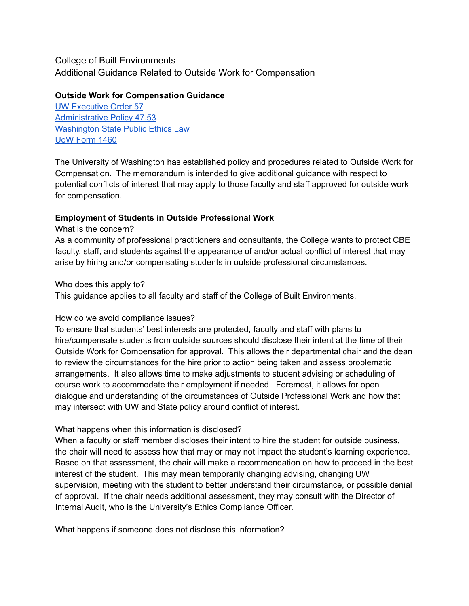# College of Built Environments Additional Guidance Related to Outside Work for Compensation

## **Outside Work for Compensation Guidance**

UW [Executive](https://www.washington.edu/admin/rules/policies/PO/EO57.html) Order 57 [Administrative](http://www.washington.edu/admin/rules/policies/APS/47.03.html) Policy 47.53 [Washington](http://apps.leg.wa.gov/rcw/default.aspx?cite=42.52) State Public Ethics Law UoW [Form](https://www.washington.edu/research/forms-and-templates/form-1460/) 1460

The University of Washington has established policy and procedures related to Outside Work for Compensation. The memorandum is intended to give additional guidance with respect to potential conflicts of interest that may apply to those faculty and staff approved for outside work for compensation.

## **Employment of Students in Outside Professional Work**

## What is the concern?

As a community of professional practitioners and consultants, the College wants to protect CBE faculty, staff, and students against the appearance of and/or actual conflict of interest that may arise by hiring and/or compensating students in outside professional circumstances.

### Who does this apply to?

This guidance applies to all faculty and staff of the College of Built Environments.

## How do we avoid compliance issues?

To ensure that students' best interests are protected, faculty and staff with plans to hire/compensate students from outside sources should disclose their intent at the time of their Outside Work for Compensation for approval. This allows their departmental chair and the dean to review the circumstances for the hire prior to action being taken and assess problematic arrangements. It also allows time to make adjustments to student advising or scheduling of course work to accommodate their employment if needed. Foremost, it allows for open dialogue and understanding of the circumstances of Outside Professional Work and how that may intersect with UW and State policy around conflict of interest.

## What happens when this information is disclosed?

When a faculty or staff member discloses their intent to hire the student for outside business, the chair will need to assess how that may or may not impact the student's learning experience. Based on that assessment, the chair will make a recommendation on how to proceed in the best interest of the student. This may mean temporarily changing advising, changing UW supervision, meeting with the student to better understand their circumstance, or possible denial of approval. If the chair needs additional assessment, they may consult with the Director of Internal Audit, who is the University's Ethics Compliance Officer.

What happens if someone does not disclose this information?